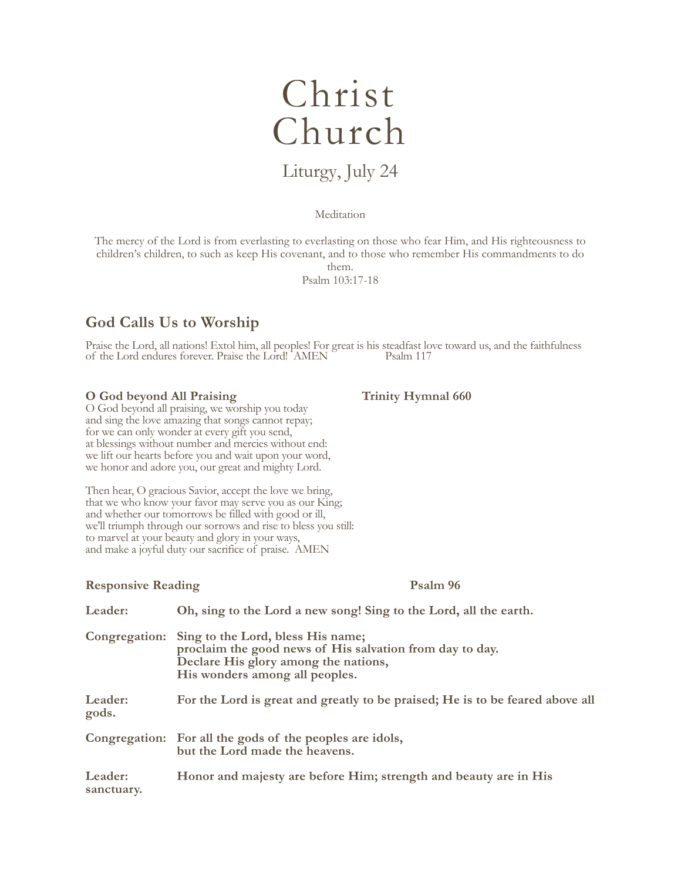# Christ Church

# Liturgy, July 24

## Meditation

The mercy of the Lord is from everlasting to everlasting on those who fear Him, and His righteousness to children's children, to such as keep His covenant, and to those who remember His commandments to do

them.

Psalm 103:17-18

# **God Calls Us to Worship**

Praise the Lord, all nations! Extol him, all peoples! For great is his steadfast love toward us, and the faithfulness of the Lord endures forever. Praise the Lord! AMEN Psalm 117

# **O God beyond All Praising Trinity Hymnal 660**

O God beyond all praising, we worship you today and sing the love amazing that songs cannot repay; for we can only wonder at every gift you send, at blessings without number and mercies without end: we lift our hearts before you and wait upon your word, we honor and adore you, our great and mighty Lord.

Then hear, O gracious Savior, accept the love we bring, that we who know your favor may serve you as our King; and whether our tomorrows be filled with good or ill, we'll triumph through our sorrows and rise to bless you still: to marvel at your beauty and glory in your ways, and make a joyful duty our sacrifice of praise. AMEN

# **Responsive Reading Psalm 96**

| Leader:               | Oh, sing to the Lord a new song! Sing to the Lord, all the earth.                                                                                                                     |
|-----------------------|---------------------------------------------------------------------------------------------------------------------------------------------------------------------------------------|
|                       | Congregation: Sing to the Lord, bless His name;<br>proclaim the good news of His salvation from day to day.<br>Declare His glory among the nations,<br>His wonders among all peoples. |
| Leader:<br>gods.      | For the Lord is great and greatly to be praised; He is to be feared above all                                                                                                         |
|                       | Congregation: For all the gods of the peoples are idols,<br>but the Lord made the heavens.                                                                                            |
| Leader:<br>sanctuary. | Honor and majesty are before Him; strength and beauty are in His                                                                                                                      |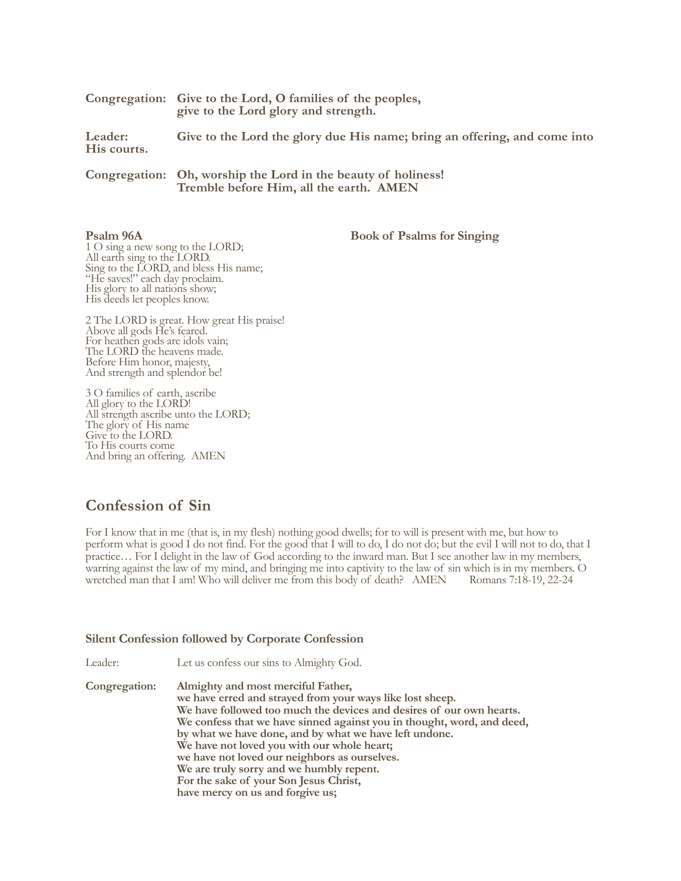|                        | Congregation: Give to the Lord, O families of the peoples,<br>give to the Lord glory and strength. |
|------------------------|----------------------------------------------------------------------------------------------------|
| Leader:<br>His courts. | Give to the Lord the glory due His name; bring an offering, and come into                          |
|                        | Congregation: Oh, worship the Lord in the beauty of holiness!                                      |

**Tremble before Him, all the earth. AMEN**

**Psalm 96A** Book of Psalms for Singing

1 O sing a new song to the LORD; All earth sing to the LORD. Sing to the LORD, and bless His name; "He saves!" each day proclaim. His glory to all nations show; His deeds let peoples know.

2 The LORD is great. How great His praise! Above all gods He's feared. For heathen gods are idols vain; The LORD the heavens made. Before Him honor, majesty, And strength and splendor be!

3 O families of earth, ascribe All glory to the LORD! All strength ascribe unto the LORD; The glory of His name Give to the LORD. To His courts come And bring an offering. AMEN

# **Confession of Sin**

For I know that in me (that is, in my flesh) nothing good dwells; for to will is present with me, but how to perform what is good I do not find. For the good that I will to do, I do not do; but the evil I will not to do, that I practice… For I delight in the law of God according to the inward man. But I see another law in my members, warring against the law of my mind, and bringing me into captivity to the law of sin which is in my members. O<br>wretched man that I am! Who will deliver me from this body of death? AMEN Romans 7:18-19, 22-24 wretched man that I am! Who will deliver me from this body of death? AMEN

# **Silent Confession followed by Corporate Confession**

Leader: Let us confess our sins to Almighty God.

**Congregation: Almighty and most merciful Father, we have erred and strayed from your ways like lost sheep. We have followed too much the devices and desires of our own hearts. We confess that we have sinned against you in thought, word, and deed, by what we have done, and by what we have left undone. We have not loved you with our whole heart; we have not loved our neighbors as ourselves. We are truly sorry and we humbly repent. For the sake of your Son Jesus Christ, have mercy on us and forgive us;** 

**that we may delight in your will and walk in your ways,**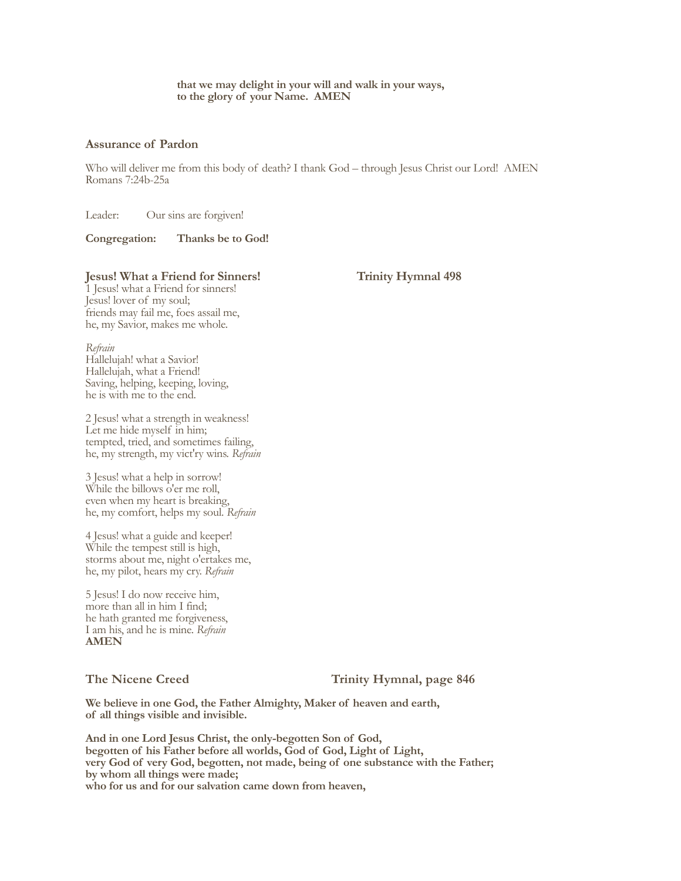#### **that we may delight in your will and walk in your ways, to the glory of your Name. AMEN**

### **Assurance of Pardon**

Who will deliver me from this body of death? I thank God – through Jesus Christ our Lord! AMEN Romans 7:24b-25a

Leader: Our sins are forgiven!

**Congregation: Thanks be to God!**

# **Jesus! What a Friend for Sinners! Trinity Hymnal 498**

1 Jesus! what a Friend for sinners! Jesus! lover of my soul; friends may fail me, foes assail me, he, my Savior, makes me whole.

*Refrain*

Hallelujah! what a Savior! Hallelujah, what a Friend! Saving, helping, keeping, loving, he is with me to the end.

2 Jesus! what a strength in weakness! Let me hide myself in him; tempted, tried, and sometimes failing, he, my strength, my vict'ry wins. *Refrain*

3 Jesus! what a help in sorrow! While the billows o'er me roll, even when my heart is breaking, he, my comfort, helps my soul. *Refrain*

4 Jesus! what a guide and keeper! While the tempest still is high, storms about me, night o'ertakes me, he, my pilot, hears my cry. *Refrain*

5 Jesus! I do now receive him, more than all in him I find; he hath granted me forgiveness, I am his, and he is mine. *Refrain* **AMEN**

The Nicene Creed Trinity Hymnal, page 846

**We believe in one God, the Father Almighty, Maker of heaven and earth, of all things visible and invisible.**

**and was incarnate by the Holy Spirit of the virgin Mary, and was made man;**

**And in one Lord Jesus Christ, the only-begotten Son of God, begotten of his Father before all worlds, God of God, Light of Light, very God of very God, begotten, not made, being of one substance with the Father; by whom all things were made; who for us and for our salvation came down from heaven,**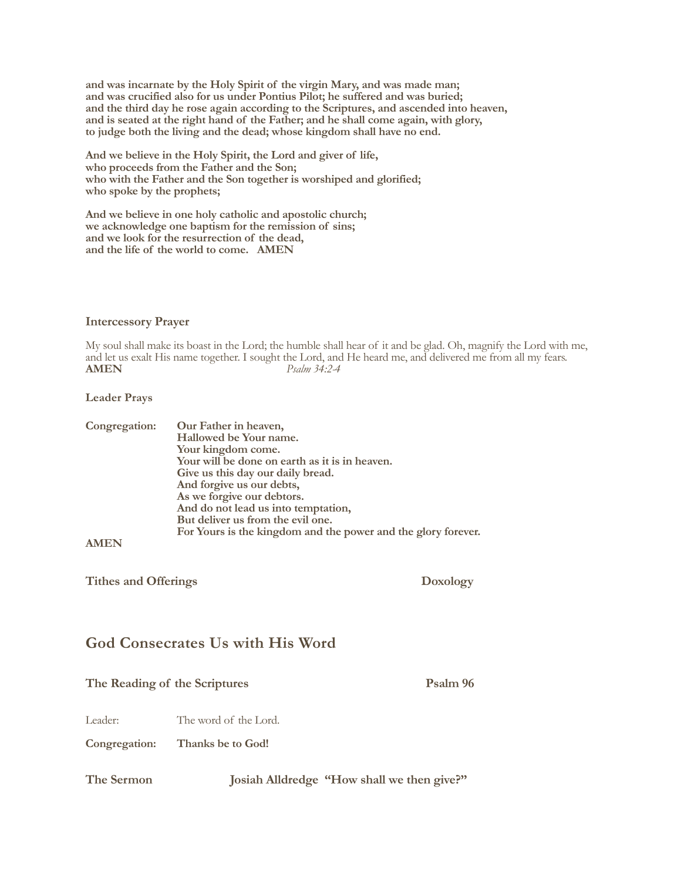**and was incarnate by the Holy Spirit of the virgin Mary, and was made man; and was crucified also for us under Pontius Pilot; he suffered and was buried; and the third day he rose again according to the Scriptures, and ascended into heaven, and is seated at the right hand of the Father; and he shall come again, with glory, to judge both the living and the dead; whose kingdom shall have no end.**

**And we believe in the Holy Spirit, the Lord and giver of life, who proceeds from the Father and the Son; who with the Father and the Son together is worshiped and glorified; who spoke by the prophets;**

**And we believe in one holy catholic and apostolic church; we acknowledge one baptism for the remission of sins; and we look for the resurrection of the dead, and the life of the world to come. AMEN**

# **Intercessory Prayer**

My soul shall make its boast in the Lord; the humble shall hear of it and be glad. Oh, magnify the Lord with me, and let us exalt His name together. I sought the Lord, and He heard me, and delivered me from all my fears. **AMEN** *Psalm 34:2-4*

# **Leader Prays**

| Congregation: | Our Father in heaven,                                         |
|---------------|---------------------------------------------------------------|
|               | Hallowed be Your name.                                        |
|               | Your kingdom come.                                            |
|               | Your will be done on earth as it is in heaven.                |
|               | Give us this day our daily bread.                             |
|               | And forgive us our debts,                                     |
|               | As we forgive our debtors.                                    |
|               | And do not lead us into temptation,                           |
|               | But deliver us from the evil one.                             |
|               | For Yours is the kingdom and the power and the glory forever. |
| <b>AMEN</b>   |                                                               |

**AMEN**

Tithes and Offerings **Doxology** 

# **God Consecrates Us with His Word**

# The Reading of the Scriptures Psalm 96

Leader: The word of the Lord.

**Congregation: Thanks be to God!**

| The Sermon |  | Josiah Alldredge "How shall we then give?" |  |
|------------|--|--------------------------------------------|--|
|------------|--|--------------------------------------------|--|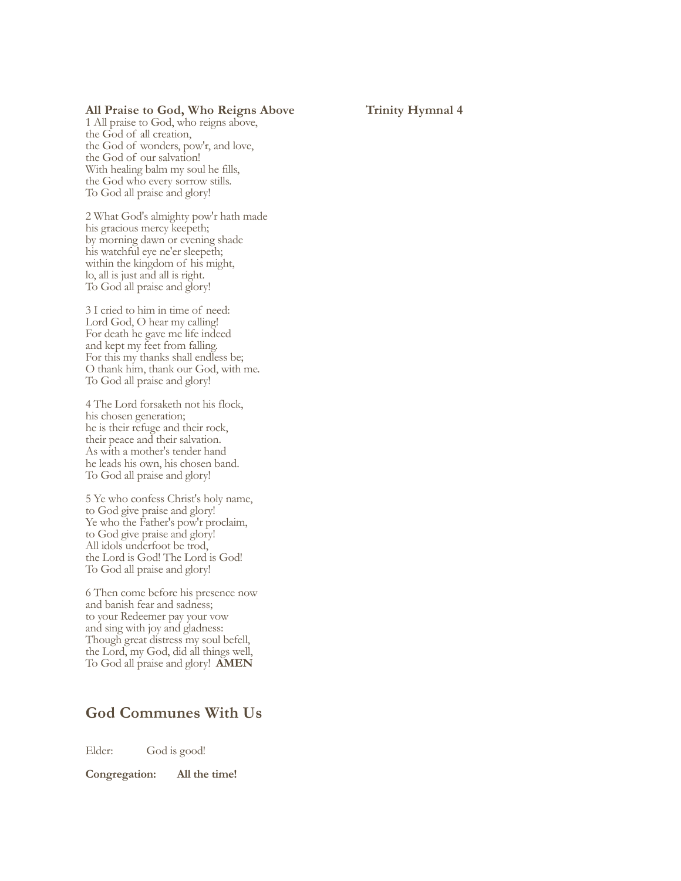# All Praise to God, Who Reigns Above Trinity Hymnal 4

1 All praise to God, who reigns above, the God of all creation, the God of wonders, pow'r, and love, the God of our salvation! With healing balm my soul he fills, the God who every sorrow stills. To God all praise and glory!

2 What God's almighty pow'r hath made his gracious mercy keepeth; by morning dawn or evening shade his watchful eye ne'er sleepeth; within the kingdom of his might, lo, all is just and all is right. To God all praise and glory!

3 I cried to him in time of need: Lord God, O hear my calling! For death he gave me life indeed and kept my feet from falling. For this my thanks shall endless be; O thank him, thank our God, with me. To God all praise and glory!

4 The Lord forsaketh not his flock, his chosen generation; he is their refuge and their rock, their peace and their salvation. As with a mother's tender hand he leads his own, his chosen band. To God all praise and glory!

5 Ye who confess Christ's holy name, to God give praise and glory! Ye who the Father's pow'r proclaim, to God give praise and glory! All idols underfoot be trod, the Lord is God! The Lord is God! To God all praise and glory!

6 Then come before his presence now and banish fear and sadness; to your Redeemer pay your vow and sing with joy and gladness: Though great distress my soul befell, the Lord, my God, did all things well, To God all praise and glory!**AMEN**

# **God Communes With Us**

Elder: God is good!

#### **Congregation: All the time!**

Elder: Let us give thanks to the Lord our God. Let us pray.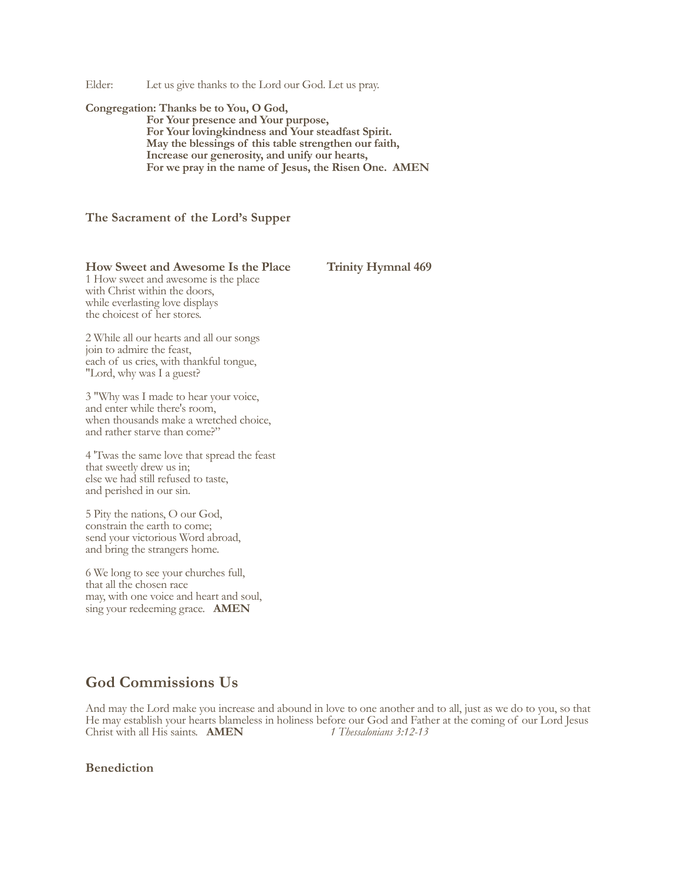Elder: Let us give thanks to the Lord our God. Let us pray.

#### **Congregation: Thanks be to You, O God,**

**For Your presence and Your purpose, For Your lovingkindness and Your steadfast Spirit. May the blessings of this table strengthen our faith, Increase our generosity, and unify our hearts, For we pray in the name of Jesus, the Risen One. AMEN**

## **The Sacrament of the Lord's Supper**

#### **How Sweet and Awesome Is the Place Trinity Hymnal 469**

1 How sweet and awesome is the place with Christ within the doors, while everlasting love displays the choicest of her stores.

2 While all our hearts and all our songs join to admire the feast, each of us cries, with thankful tongue, "Lord, why was I a guest?

3 "Why was I made to hear your voice, and enter while there's room, when thousands make a wretched choice, and rather starve than come?"

4 'Twas the same love that spread the feast that sweetly drew us in; else we had still refused to taste, and perished in our sin.

5 Pity the nations, O our God, constrain the earth to come; send your victorious Word abroad, and bring the strangers home.

6 We long to see your churches full, that all the chosen race may, with one voice and heart and soul, sing your redeeming grace. **AMEN**

# **God Commissions Us**

And may the Lord make you increase and abound in love to one another and to all, just as we do to you, so that He may establish your hearts blameless in holiness before our God and Father at the coming of our Lord Jesus Christ with all His saints. **AMEN** *1 Thessalonians 3:12-13* 

### **Benediction**